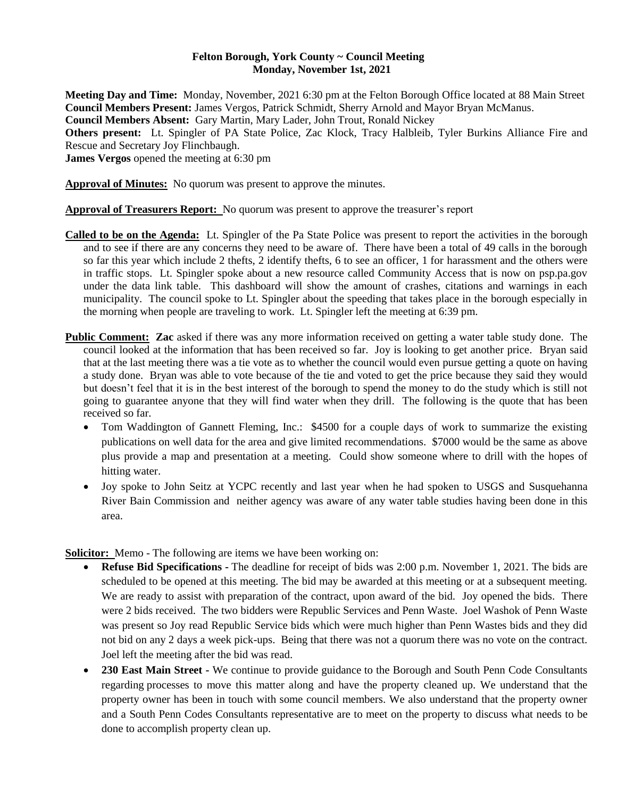## **Felton Borough, York County ~ Council Meeting Monday, November 1st, 2021**

**Meeting Day and Time:** Monday, November, 2021 6:30 pm at the Felton Borough Office located at 88 Main Street **Council Members Present:** James Vergos, Patrick Schmidt, Sherry Arnold and Mayor Bryan McManus. **Council Members Absent:** Gary Martin, Mary Lader, John Trout, Ronald Nickey **Others present:** Lt. Spingler of PA State Police, Zac Klock, Tracy Halbleib, Tyler Burkins Alliance Fire and Rescue and Secretary Joy Flinchbaugh. **James Vergos** opened the meeting at 6:30 pm

**Approval of Minutes:** No quorum was present to approve the minutes.

**Approval of Treasurers Report:** No quorum was present to approve the treasurer's report

- **Called to be on the Agenda:** Lt. Spingler of the Pa State Police was present to report the activities in the borough and to see if there are any concerns they need to be aware of. There have been a total of 49 calls in the borough so far this year which include 2 thefts, 2 identify thefts, 6 to see an officer, 1 for harassment and the others were in traffic stops. Lt. Spingler spoke about a new resource called Community Access that is now on psp.pa.gov under the data link table. This dashboard will show the amount of crashes, citations and warnings in each municipality. The council spoke to Lt. Spingler about the speeding that takes place in the borough especially in the morning when people are traveling to work. Lt. Spingler left the meeting at 6:39 pm.
- **Public Comment: Zac** asked if there was any more information received on getting a water table study done. The council looked at the information that has been received so far. Joy is looking to get another price. Bryan said that at the last meeting there was a tie vote as to whether the council would even pursue getting a quote on having a study done. Bryan was able to vote because of the tie and voted to get the price because they said they would but doesn't feel that it is in the best interest of the borough to spend the money to do the study which is still not going to guarantee anyone that they will find water when they drill. The following is the quote that has been received so far.
	- Tom Waddington of Gannett Fleming, Inc.: \$4500 for a couple days of work to summarize the existing publications on well data for the area and give limited recommendations. \$7000 would be the same as above plus provide a map and presentation at a meeting. Could show someone where to drill with the hopes of hitting water.
	- Joy spoke to John Seitz at YCPC recently and last year when he had spoken to USGS and Susquehanna River Bain Commission and neither agency was aware of any water table studies having been done in this area.

**Solicitor:** Memo - The following are items we have been working on:

- **Refuse Bid Specifications -** The deadline for receipt of bids was 2:00 p.m. November 1, 2021. The bids are scheduled to be opened at this meeting. The bid may be awarded at this meeting or at a subsequent meeting. We are ready to assist with preparation of the contract, upon award of the bid. Joy opened the bids. There were 2 bids received. The two bidders were Republic Services and Penn Waste. Joel Washok of Penn Waste was present so Joy read Republic Service bids which were much higher than Penn Wastes bids and they did not bid on any 2 days a week pick-ups. Being that there was not a quorum there was no vote on the contract. Joel left the meeting after the bid was read.
- **230 East Main Street -** We continue to provide guidance to the Borough and South Penn Code Consultants regarding processes to move this matter along and have the property cleaned up. We understand that the property owner has been in touch with some council members. We also understand that the property owner and a South Penn Codes Consultants representative are to meet on the property to discuss what needs to be done to accomplish property clean up.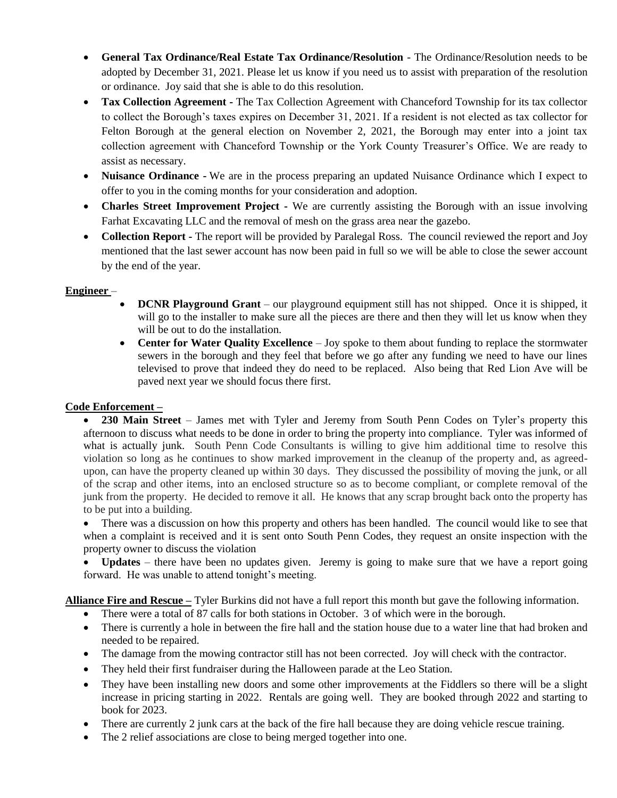- **General Tax Ordinance/Real Estate Tax Ordinance/Resolution** The Ordinance/Resolution needs to be adopted by December 31, 2021. Please let us know if you need us to assist with preparation of the resolution or ordinance. Joy said that she is able to do this resolution.
- **Tax Collection Agreement -** The Tax Collection Agreement with Chanceford Township for its tax collector to collect the Borough's taxes expires on December 31, 2021. If a resident is not elected as tax collector for Felton Borough at the general election on November 2, 2021, the Borough may enter into a joint tax collection agreement with Chanceford Township or the York County Treasurer's Office. We are ready to assist as necessary.
- **Nuisance Ordinance -** We are in the process preparing an updated Nuisance Ordinance which I expect to offer to you in the coming months for your consideration and adoption.
- **Charles Street Improvement Project -** We are currently assisting the Borough with an issue involving Farhat Excavating LLC and the removal of mesh on the grass area near the gazebo.
- **Collection Report -** The report will be provided by Paralegal Ross. The council reviewed the report and Joy mentioned that the last sewer account has now been paid in full so we will be able to close the sewer account by the end of the year.

# **Engineer** –

- **DCNR Playground Grant**  our playground equipment still has not shipped. Once it is shipped, it will go to the installer to make sure all the pieces are there and then they will let us know when they will be out to do the installation.
- **Center for Water Quality Excellence**  Joy spoke to them about funding to replace the stormwater sewers in the borough and they feel that before we go after any funding we need to have our lines televised to prove that indeed they do need to be replaced. Also being that Red Lion Ave will be paved next year we should focus there first.

# **Code Enforcement –**

 **230 Main Street** – James met with Tyler and Jeremy from South Penn Codes on Tyler's property this afternoon to discuss what needs to be done in order to bring the property into compliance. Tyler was informed of what is actually junk. South Penn Code Consultants is willing to give him additional time to resolve this violation so long as he continues to show marked improvement in the cleanup of the property and, as agreedupon, can have the property cleaned up within 30 days. They discussed the possibility of moving the junk, or all of the scrap and other items, into an enclosed structure so as to become compliant, or complete removal of the junk from the property. He decided to remove it all. He knows that any scrap brought back onto the property has to be put into a building.

• There was a discussion on how this property and others has been handled. The council would like to see that when a complaint is received and it is sent onto South Penn Codes, they request an onsite inspection with the property owner to discuss the violation

• **Updates** – there have been no updates given. Jeremy is going to make sure that we have a report going forward. He was unable to attend tonight's meeting.

**Alliance Fire and Rescue –** Tyler Burkins did not have a full report this month but gave the following information.

- There were a total of 87 calls for both stations in October. 3 of which were in the borough.
- There is currently a hole in between the fire hall and the station house due to a water line that had broken and needed to be repaired.
- The damage from the mowing contractor still has not been corrected. Joy will check with the contractor.
- They held their first fundraiser during the Halloween parade at the Leo Station.
- They have been installing new doors and some other improvements at the Fiddlers so there will be a slight increase in pricing starting in 2022. Rentals are going well. They are booked through 2022 and starting to book for 2023.
- There are currently 2 junk cars at the back of the fire hall because they are doing vehicle rescue training.
- The 2 relief associations are close to being merged together into one.